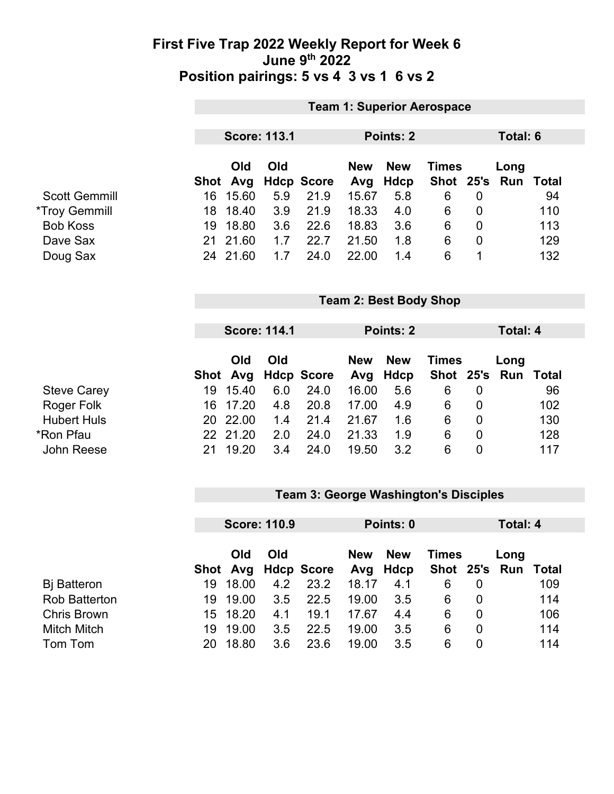### **First Five Trap 2022 Weekly Report for Week 6 June 9th 2022 Position pairings: 5 vs 4 3 vs 1 6 vs 2**

|                             | <b>Team 1: Superior Aerospace</b> |                     |     |                   |            |                               |              |                |                 |              |  |
|-----------------------------|-----------------------------------|---------------------|-----|-------------------|------------|-------------------------------|--------------|----------------|-----------------|--------------|--|
|                             |                                   |                     |     |                   |            |                               |              |                |                 |              |  |
|                             |                                   | <b>Score: 113.1</b> |     |                   |            | Points: 2                     |              |                | Total: 6        |              |  |
|                             |                                   | Old                 | Old |                   | <b>New</b> | <b>New</b>                    | <b>Times</b> |                | Long            |              |  |
|                             | Shot                              | Avg                 |     | <b>Hdcp Score</b> | Avg        | <b>Hdcp</b>                   | <b>Shot</b>  | 25's           | Run             | <b>Total</b> |  |
| <b>Scott Gemmill</b>        | 16                                | 15.60               | 5.9 | 21.9              | 15.67      | 5.8                           | 6            | $\mathbf{0}$   |                 | 94           |  |
| <i><b>*Troy Gemmill</b></i> | 18                                | 18.40               | 3.9 | 21.9              | 18.33      | 4.0                           | 6            | $\overline{0}$ |                 | 110          |  |
| <b>Bob Koss</b>             | 19                                | 18.80               | 3.6 | 22.6              | 18.83      | 3.6                           | 6            | $\overline{0}$ |                 | 113          |  |
| Dave Sax                    | 21                                | 21.60               | 1.7 | 22.7              | 21.50      | 1.8                           | 6            | $\mathbf 0$    |                 | 129          |  |
| Doug Sax                    |                                   | 24 21.60            | 1.7 | 24.0              | 22.00      | 1.4                           | 6            | 1              |                 | 132          |  |
|                             |                                   |                     |     |                   |            | <b>Team 2: Best Body Shop</b> |              |                |                 |              |  |
|                             |                                   |                     |     |                   |            |                               |              |                |                 |              |  |
|                             |                                   | <b>Score: 114.1</b> |     |                   |            | Points: 2                     |              |                | <b>Total: 4</b> |              |  |
|                             |                                   | Old                 | Old |                   | <b>New</b> | <b>New</b>                    | <b>Times</b> |                | Long            |              |  |
|                             |                                   | Shot Avg            |     | <b>Hdcp Score</b> | Avg        | <b>Hdcp</b>                   | <b>Shot</b>  | 25's           | Run             | <b>Total</b> |  |
| <b>Steve Carey</b>          | 19                                | 15.40               | 6.0 | 24.0              | 16.00      | 5.6                           | 6            | $\mathbf 0$    |                 | 96           |  |
| Roger Folk                  | 16                                | 17.20               | 4.8 | 20.8              | 17.00      | 4.9                           | 6            | 0              |                 | 102          |  |
| <b>Hubert Huls</b>          | 20                                | 22.00               | 1.4 | 21.4              | 21.67      | 1.6                           | 6            | $\mathbf 0$    |                 | 130          |  |
| *Ron Pfau                   |                                   | 22 21.20            | 2.0 | 24.0              | 21.33      | 1.9                           | 6            | $\mathbf 0$    |                 | 128          |  |
| John Reese                  | 21                                | 19.20               | 3.4 | 24.0              | 19.50      | 3.2                           | 6            | $\mathbf 0$    |                 | 117          |  |

# **Team 3: George Washington's Disciples**

|                      | <b>Score: 110.9</b> |          |     | Points: 0           |            |                        | Total: 4     |          |                             |     |
|----------------------|---------------------|----------|-----|---------------------|------------|------------------------|--------------|----------|-----------------------------|-----|
|                      |                     | Old      | Old | Shot Avg Hdcp Score | <b>New</b> | <b>New</b><br>Avg Hdcp | <b>Times</b> |          | Long<br>Shot 25's Run Total |     |
| <b>B</b> j Batteron  | 19.                 | 18.00    | 4.2 | 23.2                | 18.17      | 4.1                    | 6            |          |                             | 109 |
| <b>Rob Batterton</b> | 19.                 | 19.00    | 3.5 | 22.5                | 19.00      | 3.5                    | 6            | $\Omega$ |                             | 114 |
| <b>Chris Brown</b>   |                     | 15 18.20 | 4.1 | 19.1                | 17.67      | 4.4                    | 6            | 0        |                             | 106 |
| <b>Mitch Mitch</b>   | 19.                 | 19.00    | 3.5 | 22.5                | 19.00      | 3.5                    | 6            | 0        |                             | 114 |
| Tom Tom              | 20.                 | 18.80    | 3.6 | 23.6                | 19.00      | 3.5                    | 6            | 0        |                             | 114 |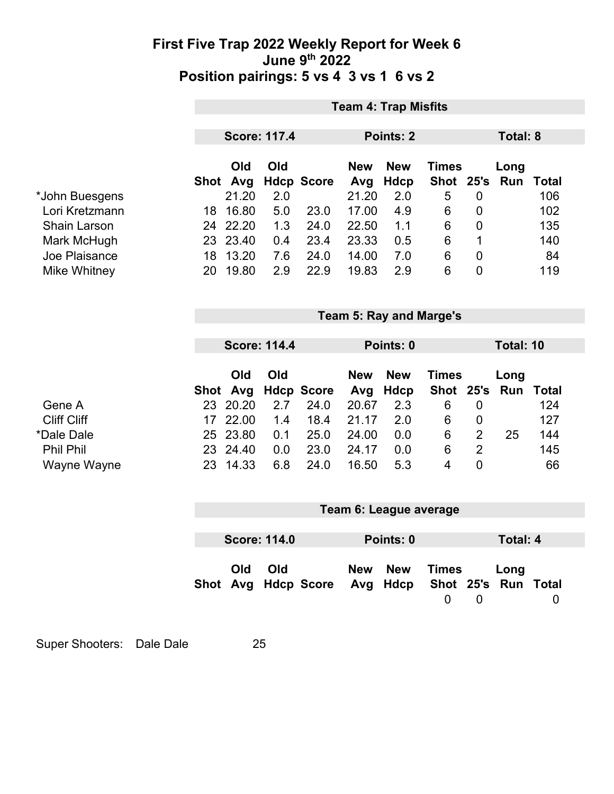### **First Five Trap 2022 Weekly Report for Week 6 June 9th 2022 Position pairings: 5 vs 4 3 vs 1 6 vs 2**

|                                  | <b>Team 4: Trap Misfits</b> |                 |                     |                   |                   |                                |                             |                |                 |              |  |
|----------------------------------|-----------------------------|-----------------|---------------------|-------------------|-------------------|--------------------------------|-----------------------------|----------------|-----------------|--------------|--|
|                                  |                             |                 |                     |                   |                   |                                |                             |                |                 |              |  |
|                                  |                             |                 | <b>Score: 117.4</b> |                   |                   | Points: 2                      |                             |                | <b>Total: 8</b> |              |  |
|                                  |                             | Old<br>Shot Avg | Old                 | <b>Hdcp Score</b> | <b>New</b><br>Avg | <b>New</b><br><b>Hdcp</b>      | <b>Times</b><br><b>Shot</b> | 25's           | Long<br>Run     | <b>Total</b> |  |
| *John Buesgens                   |                             | 21.20           | 2.0                 |                   | 21.20             | 2.0                            | 5                           | $\overline{0}$ |                 | 106          |  |
| Lori Kretzmann                   | 18                          | 16.80           | 5.0                 | 23.0              | 17.00             | 4.9                            | 6                           | $\mathbf 0$    |                 | 102          |  |
| <b>Shain Larson</b>              |                             | 24 22.20        | 1.3                 | 24.0              | 22.50             | 1.1                            | 6                           | $\overline{0}$ |                 | 135          |  |
| Mark McHugh                      | 23                          | 23.40           | 0.4                 | 23.4              | 23.33             | 0.5                            | 6                           | 1              |                 | 140          |  |
| Joe Plaisance                    | 18                          | 13.20           | 7.6                 | 24.0              | 14.00             | 7.0                            | 6                           | $\overline{0}$ |                 | 84           |  |
| Mike Whitney                     | 20                          | 19.80           | 2.9                 | 22.9              | 19.83             | 2.9                            | 6                           | $\overline{0}$ |                 | 119          |  |
|                                  |                             |                 |                     |                   |                   |                                |                             |                |                 |              |  |
|                                  |                             |                 |                     |                   |                   | <b>Team 5: Ray and Marge's</b> |                             |                |                 |              |  |
|                                  |                             |                 | <b>Score: 114.4</b> |                   |                   | Points: 0                      |                             |                | Total: 10       |              |  |
|                                  |                             |                 |                     |                   |                   |                                |                             |                |                 |              |  |
|                                  |                             | Old             | Old                 |                   | <b>New</b>        | <b>New</b>                     | <b>Times</b>                |                | Long            |              |  |
|                                  |                             | Shot Avg        |                     | <b>Hdcp Score</b> | Avg               | <b>Hdcp</b>                    | Shot 25's                   |                | Run             | <b>Total</b> |  |
|                                  |                             | 23 20.20        | 2.7                 | 24.0              | 20.67             | 2.3                            | 6                           | $\mathbf 0$    |                 | 124          |  |
| <b>Cliff Cliff</b><br>*Dale Dale | 17                          | 22.00           | 1.4                 | 18.4              | 21.17             | 2.0                            | 6                           | $\mathbf 0$    |                 | 127          |  |
|                                  | 25                          | 23.80           | 0.1                 | 25.0              | 24.00             | 0.0                            | 6                           | $\overline{2}$ | 25              | 144          |  |
| Wayne Wayne                      |                             | 23 24.40        | 0.0                 | 23.0              | 24.17             | 0.0                            | 6                           | $\overline{2}$ |                 | 145          |  |
|                                  | 23                          | 14.33           | 6.8                 | 24.0              | 16.50             | 5.3                            | $\overline{4}$              | $\overline{0}$ |                 | 66           |  |
|                                  |                             |                 |                     |                   |                   |                                |                             |                |                 |              |  |
|                                  |                             |                 |                     |                   |                   |                                |                             |                |                 |              |  |
|                                  |                             |                 |                     |                   |                   | Team 6: League average         |                             |                |                 |              |  |
|                                  |                             |                 |                     |                   |                   |                                |                             |                |                 |              |  |
|                                  |                             |                 | <b>Score: 114.0</b> |                   |                   | Points: 0                      |                             |                | <b>Total: 4</b> |              |  |
|                                  |                             | Old<br>Shot Avg | Old                 | <b>Hdcp Score</b> | <b>New</b><br>Avg | <b>New</b><br><b>Hdcp</b>      | <b>Times</b><br>Shot        | 25's           | Long<br>Run     | <b>Total</b> |  |

Super Shooters: Dale Dale 25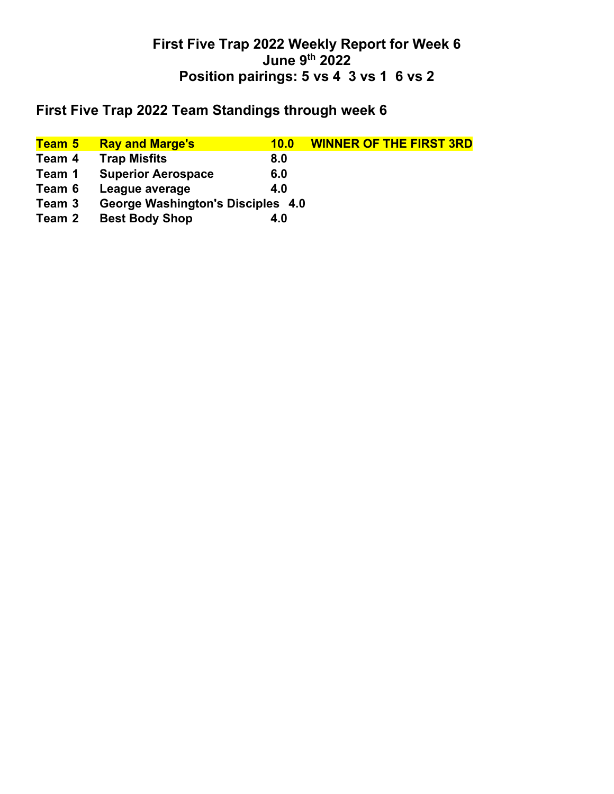## **First Five Trap 2022 Weekly Report for Week 6 June 9th 2022 Position pairings: 5 vs 4 3 vs 1 6 vs 2**

# **First Five Trap 2022 Team Standings through week 6**

| Team 5 | <b>Ray and Marge's</b>                   | 10.0 | <b>WINNER OF THE FIRST 3RD</b> |
|--------|------------------------------------------|------|--------------------------------|
| Team 4 | <b>Trap Misfits</b>                      | 8.0  |                                |
| Team 1 | <b>Superior Aerospace</b>                | 6.0  |                                |
| Team 6 | League average                           | 4.0  |                                |
| Team 3 | <b>George Washington's Disciples 4.0</b> |      |                                |
| Team 2 | <b>Best Body Shop</b>                    | 4.0  |                                |